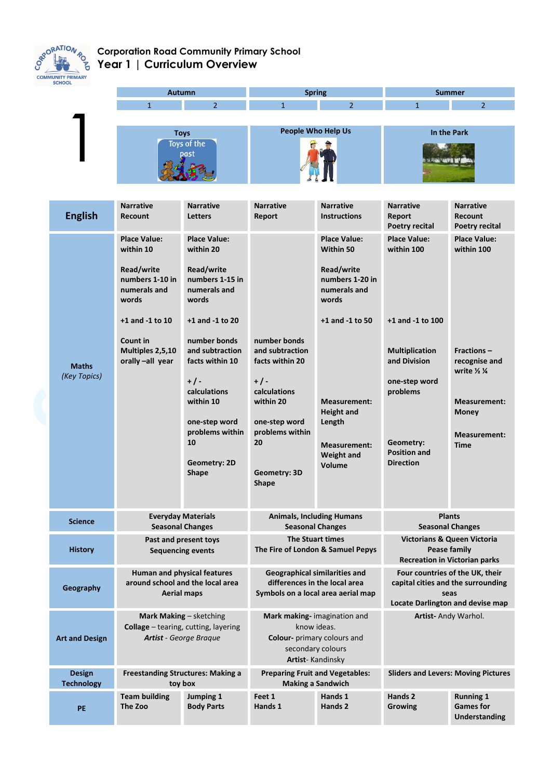

## **Corporation Road Community Primary School Year 1 | Curriculum Overview**



| <b>English</b>                     | <b>Narrative</b><br><b>Recount</b>                                                                                                                                     | <b>Narrative</b><br><b>Letters</b>                                                                                                                                                                                                                                                  | <b>Narrative</b><br>Report                                                                                                                                         | <b>Narrative</b><br><b>Instructions</b>                                                                                                                                                                                              | <b>Narrative</b><br>Report<br><b>Poetry recital</b>                                                                                                                                 | <b>Narrative</b><br><b>Recount</b><br>Poetry recital                                                                                                                         |
|------------------------------------|------------------------------------------------------------------------------------------------------------------------------------------------------------------------|-------------------------------------------------------------------------------------------------------------------------------------------------------------------------------------------------------------------------------------------------------------------------------------|--------------------------------------------------------------------------------------------------------------------------------------------------------------------|--------------------------------------------------------------------------------------------------------------------------------------------------------------------------------------------------------------------------------------|-------------------------------------------------------------------------------------------------------------------------------------------------------------------------------------|------------------------------------------------------------------------------------------------------------------------------------------------------------------------------|
| <b>Maths</b><br>(Key Topics)       | <b>Place Value:</b><br>within 10<br>Read/write<br>numbers 1-10 in<br>numerals and<br>words<br>$+1$ and $-1$ to $10$<br>Count in<br>Multiples 2,5,10<br>orally-all year | <b>Place Value:</b><br>within 20<br>Read/write<br>numbers 1-15 in<br>numerals and<br>words<br>+1 and -1 to 20<br>number bonds<br>and subtraction<br>facts within 10<br>$+/-$<br>calculations<br>within 10<br>one-step word<br>problems within<br>10<br>Geometry: 2D<br><b>Shape</b> | number bonds<br>and subtraction<br>facts within 20<br>$+/-$<br>calculations<br>within 20<br>one-step word<br>problems within<br>20<br>Geometry: 3D<br><b>Shape</b> | <b>Place Value:</b><br>Within 50<br>Read/write<br>numbers 1-20 in<br>numerals and<br>words<br>$+1$ and $-1$ to 50<br><b>Measurement:</b><br><b>Height and</b><br>Length<br><b>Measurement:</b><br><b>Weight and</b><br><b>Volume</b> | <b>Place Value:</b><br>within 100<br>+1 and -1 to 100<br><b>Multiplication</b><br>and Division<br>one-step word<br>problems<br>Geometry:<br><b>Position and</b><br><b>Direction</b> | <b>Place Value:</b><br>within 100<br><b>Fractions –</b><br>recognise and<br>write $\frac{1}{2}$ $\frac{1}{4}$<br><b>Measurement:</b><br>Money<br>Measurement:<br><b>Time</b> |
| <b>Science</b>                     | <b>Everyday Materials</b><br><b>Seasonal Changes</b>                                                                                                                   |                                                                                                                                                                                                                                                                                     | <b>Animals, Including Humans</b><br><b>Seasonal Changes</b>                                                                                                        |                                                                                                                                                                                                                                      | <b>Plants</b><br><b>Seasonal Changes</b>                                                                                                                                            |                                                                                                                                                                              |
| <b>History</b>                     | Past and present toys<br><b>Sequencing events</b>                                                                                                                      |                                                                                                                                                                                                                                                                                     | <b>The Stuart times</b><br>The Fire of London & Samuel Pepys                                                                                                       |                                                                                                                                                                                                                                      | Victorians & Queen Victoria<br><b>Pease family</b><br><b>Recreation in Victorian parks</b>                                                                                          |                                                                                                                                                                              |
| Geography                          | <b>Human and physical features</b><br>around school and the local area<br><b>Aerial maps</b>                                                                           |                                                                                                                                                                                                                                                                                     | <b>Geographical similarities and</b><br>differences in the local area<br>Symbols on a local area aerial map                                                        |                                                                                                                                                                                                                                      | Four countries of the UK, their<br>capital cities and the surrounding<br>seas<br><b>Locate Darlington and devise map</b>                                                            |                                                                                                                                                                              |
| <b>Art and Design</b>              | Mark Making - sketching<br>Collage - tearing, cutting, layering<br><b>Artist</b> - George Braque                                                                       |                                                                                                                                                                                                                                                                                     | Mark making- imagination and<br>know ideas.<br>Colour- primary colours and<br>secondary colours<br><b>Artist-Kandinsky</b>                                         |                                                                                                                                                                                                                                      | Artist- Andy Warhol.                                                                                                                                                                |                                                                                                                                                                              |
| <b>Design</b><br><b>Technology</b> | <b>Freestanding Structures: Making a</b><br>toy box                                                                                                                    |                                                                                                                                                                                                                                                                                     | <b>Preparing Fruit and Vegetables:</b><br><b>Making a Sandwich</b>                                                                                                 |                                                                                                                                                                                                                                      | <b>Sliders and Levers: Moving Pictures</b>                                                                                                                                          |                                                                                                                                                                              |
| PE                                 | <b>Team building</b><br>The Zoo                                                                                                                                        | Jumping 1<br><b>Body Parts</b>                                                                                                                                                                                                                                                      | Feet 1<br>Hands 1                                                                                                                                                  | Hands 1<br>Hands 2                                                                                                                                                                                                                   | Hands 2<br>Growing                                                                                                                                                                  | <b>Running 1</b><br><b>Games for</b><br><b>Understanding</b>                                                                                                                 |